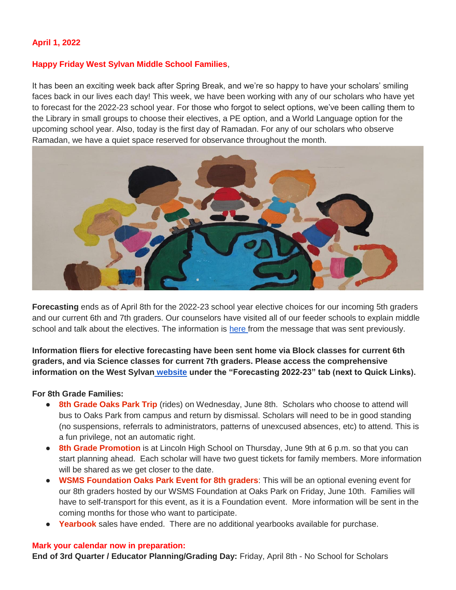#### **April 1, 2022**

#### **Happy Friday West Sylvan Middle School Families**,

It has been an exciting week back after Spring Break, and we're so happy to have your scholars' smiling faces back in our lives each day! This week, we have been working with any of our scholars who have yet to forecast for the 2022-23 school year. For those who forgot to select options, we've been calling them to the Library in small groups to choose their electives, a PE option, and a World Language option for the upcoming school year. Also, today is the first day of Ramadan. For any of our scholars who observe Ramadan, we have a quiet space reserved for observance throughout the month.



**Forecasting** ends as of April 8th for the 2022-23 school year elective choices for our incoming 5th graders and our current 6th and 7th graders. Our counselors have visited all of our feeder schools to explain middle school and talk about the electives. The information is [here f](https://docs.google.com/document/d/105XXx6Z7Qz5ui7o-kmTNqqa7cryFH5nBhyOaNz_PNsY/edit?usp=sharing)rom the message that was sent previously.

**Information fliers for elective forecasting have been sent home via Block classes for current 6th graders, and via Science classes for current 7th graders. Please access the comprehensive information on the West Sylvan [website](https://www.pps.net/westsylvan) under the "Forecasting 2022-23" tab (next to Quick Links).**

#### **For 8th Grade Families:**

- **8th Grade Oaks Park Trip** (rides) on Wednesday, June 8th. Scholars who choose to attend will bus to Oaks Park from campus and return by dismissal. Scholars will need to be in good standing (no suspensions, referrals to administrators, patterns of unexcused absences, etc) to attend. This is a fun privilege, not an automatic right.
- **8th Grade Promotion** is at Lincoln High School on Thursday, June 9th at 6 p.m. so that you can start planning ahead. Each scholar will have two guest tickets for family members. More information will be shared as we get closer to the date.
- **WSMS Foundation Oaks Park Event for 8th graders**: This will be an optional evening event for our 8th graders hosted by our WSMS Foundation at Oaks Park on Friday, June 10th. Families will have to self-transport for this event, as it is a Foundation event. More information will be sent in the coming months for those who want to participate.
- **Yearbook** sales have ended. There are no additional yearbooks available for purchase.

#### **Mark your calendar now in preparation:**

**End of 3rd Quarter / Educator Planning/Grading Day:** Friday, April 8th - No School for Scholars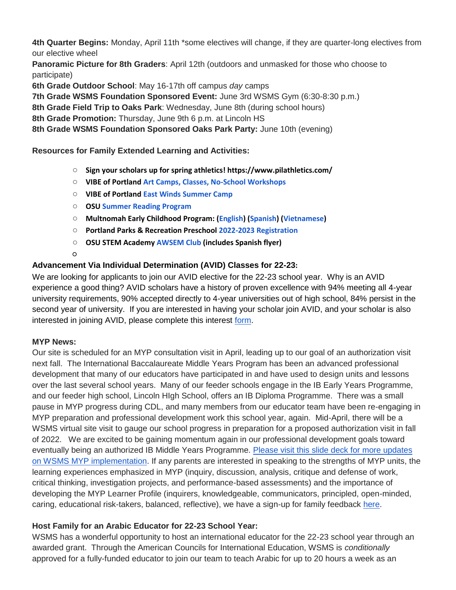**4th Quarter Begins:** Monday, April 11th \*some electives will change, if they are quarter-long electives from our elective wheel

**Panoramic Picture for 8th Graders**: April 12th (outdoors and unmasked for those who choose to participate)

**6th Grade Outdoor School**: May 16-17th off campus *day* camps

**7th Grade WSMS Foundation Sponsored Event:** June 3rd WSMS Gym (6:30-8:30 p.m.)

**8th Grade Field Trip to Oaks Park**: Wednesday, June 8th (during school hours)

**8th Grade Promotion:** Thursday, June 9th 6 p.m. at Lincoln HS

**8th Grade WSMS Foundation Sponsored Oaks Park Party:** June 10th (evening)

**Resources for Family Extended Learning and Activities:**

- **Sign your scholars up for spring athletics! https://www.pilathletics.com/**
- **VIBE of Portland [Art Camps, Classes, No-School Workshops](https://www.pps.net/cms/lib/OR01913224/Centricity/Domain/254/VIBE.jpeg)**
- **VIBE of Portland East [Winds Summer Camp](https://www.pps.net/cms/lib/OR01913224/Centricity/Domain/254/VIBE-east_winds_2022.jpeg)**
- **OSU [Summer Reading Program](https://www.pps.net/cms/lib/OR01913224/Centricity/Domain/254/OSU-reading-summer-2022.pdf)**
- **Multnomah Early Childhood Program: [\(English\)](https://www.pps.net/cms/lib/OR01913224/Centricity/Domain/254/MECP-2021-22-PEER-Flyer-English.pdf) [\(Spanish\)](https://www.pps.net/cms/lib/OR01913224/Centricity/Domain/254/MECP-2021-22-PEER-Flyer-Spanish.pdf) [\(Vietnamese\)](https://www.pps.net/cms/lib/OR01913224/Centricity/Domain/254/MECP-2021-22-PEER-Flyer-Vietnamese.pdf)**
- **Portland Parks & Recreation Preschool [2022-2023 Registration](https://www.pps.net/cms/lib/OR01913224/Centricity/Domain/254/PPR-Preschool-22-23-price-sheet.pdf)**
- **OSU STEM Academy [AWSEM](https://www.pps.net/cms/lib/OR01913224/Centricity/Domain/254/AWSEM_Flyer_Combined_General.pdf) [Club](https://www.pps.net/cms/lib/OR01913224/Centricity/Domain/254/AWSEM_Flyer_Combined_General.pdf) (includes Spanish flyer)**
- $\circ$

## **Advancement Via Individual Determination (AVID) Classes for 22-23:**

We are looking for applicants to join our AVID elective for the 22-23 school year. Why is an AVID experience a good thing? AVID scholars have a history of proven excellence with 94% meeting all 4-year university requirements, 90% accepted directly to 4-year universities out of high school, 84% persist in the second year of university. If you are interested in having your scholar join AVID, and your scholar is also interested in joining AVID, please complete this interest [form.](https://docs.google.com/forms/d/e/1FAIpQLSdpPNrTbbG1YoO1o0bwfKFg3SDu-UarWp5LE59aNPm0xsaCQg/viewform?usp=sf_link)

## **MYP News:**

Our site is scheduled for an MYP consultation visit in April, leading up to our goal of an authorization visit next fall. The International Baccalaureate Middle Years Program has been an advanced professional development that many of our educators have participated in and have used to design units and lessons over the last several school years. Many of our feeder schools engage in the IB Early Years Programme, and our feeder high school, Lincoln HIgh School, offers an IB Diploma Programme. There was a small pause in MYP progress during CDL, and many members from our educator team have been re-engaging in MYP preparation and professional development work this school year, again. Mid-April, there will be a WSMS virtual site visit to gauge our school progress in preparation for a proposed authorization visit in fall of 2022. We are excited to be gaining momentum again in our professional development goals toward eventually being an authorized IB Middle Years Programme. [Please visit this slide deck for more updates](https://docs.google.com/presentation/d/17SY-I5PfW5t18hZZ0ELhA85-iVSoBrj6_zKBGUaFTP8/edit?usp=sharing)  [on WSMS MYP implementation.](https://docs.google.com/presentation/d/17SY-I5PfW5t18hZZ0ELhA85-iVSoBrj6_zKBGUaFTP8/edit?usp=sharing) If any parents are interested in speaking to the strengths of MYP units, the learning experiences emphasized in MYP (inquiry, discussion, analysis, critique and defense of work, critical thinking, investigation projects, and performance-based assessments) and the importance of developing the MYP Learner Profile (inquirers, knowledgeable, communicators, principled, open-minded, caring, educational risk-takers, balanced, reflective), we have a sign-up for family feedback [here.](https://forms.gle/W5Cf7uwHptwe1jbh6)

# **Host Family for an Arabic Educator for 22-23 School Year:**

WSMS has a wonderful opportunity to host an international educator for the 22-23 school year through an awarded grant. Through the American Councils for International Education, WSMS is *conditionally*  approved for a fully-funded educator to join our team to teach Arabic for up to 20 hours a week as an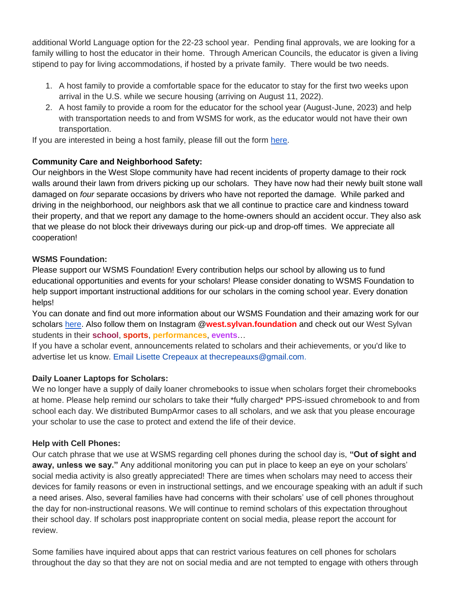additional World Language option for the 22-23 school year. Pending final approvals, we are looking for a family willing to host the educator in their home. Through American Councils, the educator is given a living stipend to pay for living accommodations, if hosted by a private family. There would be two needs.

- 1. A host family to provide a comfortable space for the educator to stay for the first two weeks upon arrival in the U.S. while we secure housing (arriving on August 11, 2022).
- 2. A host family to provide a room for the educator for the school year (August-June, 2023) and help with transportation needs to and from WSMS for work, as the educator would not have their own transportation.

If you are interested in being a host family, please fill out the form [here.](https://forms.gle/Ljte5CwpWQZtUZCN6)

# **Community Care and Neighborhood Safety:**

Our neighbors in the West Slope community have had recent incidents of property damage to their rock walls around their lawn from drivers picking up our scholars. They have now had their newly built stone wall damaged on *four* separate occasions by drivers who have not reported the damage. While parked and driving in the neighborhood, our neighbors ask that we all continue to practice care and kindness toward their property, and that we report any damage to the home-owners should an accident occur. They also ask that we please do not block their driveways during our pick-up and drop-off times. We appreciate all cooperation!

# **WSMS Foundation:**

Please support our WSMS Foundation! Every contribution helps our school by allowing us to fund educational opportunities and events for your scholars! Please consider donating to WSMS Foundation to help support important instructional additions for our scholars in the coming school year. Every donation helps!

You can donate and find out more information about our WSMS Foundation and their amazing work for our scholars [here.](https://www.westsylvanfoundation.com/) Also follow them on Instagram @**west.sylvan.foundation** and check out our West Sylvan students in their **school**, **sports**, **performances**, **events**…

If you have a scholar event, announcements related to scholars and their achievements, or you'd like to advertise let us know. Email Lisette Crepeaux at thecrepeauxs@gmail.com.

# **Daily Loaner Laptops for Scholars:**

We no longer have a supply of daily loaner chromebooks to issue when scholars forget their chromebooks at home. Please help remind our scholars to take their \*fully charged\* PPS-issued chromebook to and from school each day. We distributed BumpArmor cases to all scholars, and we ask that you please encourage your scholar to use the case to protect and extend the life of their device.

## **Help with Cell Phones:**

Our catch phrase that we use at WSMS regarding cell phones during the school day is, **"Out of sight and away, unless we say."** Any additional monitoring you can put in place to keep an eye on your scholars' social media activity is also greatly appreciated! There are times when scholars may need to access their devices for family reasons or even in instructional settings, and we encourage speaking with an adult if such a need arises. Also, several families have had concerns with their scholars' use of cell phones throughout the day for non-instructional reasons. We will continue to remind scholars of this expectation throughout their school day. If scholars post inappropriate content on social media, please report the account for review.

Some families have inquired about apps that can restrict various features on cell phones for scholars throughout the day so that they are not on social media and are not tempted to engage with others through